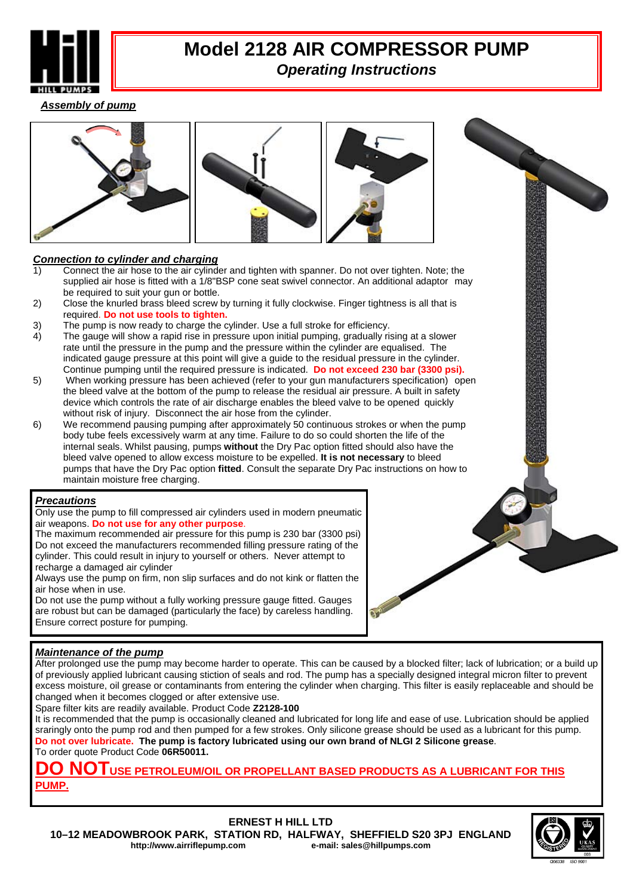

### **Model 2128 AIR COMPRESSOR PUMP** *Operating Instructions*

*Assembly of pump*





### *Connection to cylinder and charging*

- 1) Connect the air hose to the air cylinder and tighten with spanner. Do not over tighten. Note; the supplied air hose is fitted with a 1/8"BSP cone seat swivel connector. An additional adaptor may be required to suit your gun or bottle.
- 2) Close the knurled brass bleed screw by turning it fully clockwise. Finger tightness is all that is required. **Do not use tools to tighten.**
- 3)The pump is now ready to charge the cylinder. Use a full stroke for efficiency.
- 4) The gauge will show a rapid rise in pressure upon initial pumping, gradually rising at a slower rate until the pressure in the pump and the pressure within the cylinder are equalised. The indicated gauge pressure at this point will give a guide to the residual pressure in the cylinder.
- Continue pumping until the required pressure is indicated. **Do not exceed 230 bar (3300 psi).**  When working pressure has been achieved (refer to your gun manufacturers specification) open the bleed valve at the bottom of the pump to release the residual air pressure. A built in safety device which controls the rate of air discharge enables the bleed valve to be opened quickly without risk of injury. Disconnect the air hose from the cylinder.
- 6) We recommend pausing pumping after approximately 50 continuous strokes or when the pump body tube feels excessively warm at any time. Failure to do so could shorten the life of the internal seals. Whilst pausing, pumps **without** the Dry Pac option fitted should also have the bleed valve opened to allow excess moisture to be expelled. **It is not necessary** to bleed pumps that have the Dry Pac option **fitted**. Consult the separate Dry Pac instructions on how to maintain moisture free charging.

#### *Precautions*

Only use the pump to fill compressed air cylinders used in modern pneumatic air weapons. **Do not use for any other purpose**.

The maximum recommended air pressure for this pump is 230 bar (3300 psi) Do not exceed the manufacturers recommended filling pressure rating of the cylinder. This could result in injury to yourself or others. Never attempt to recharge a damaged air cylinder

Always use the pump on firm, non slip surfaces and do not kink or flatten the air hose when in use.

Do not use the pump without a fully working pressure gauge fitted. Gauges are robust but can be damaged (particularly the face) by careless handling. Ensure correct posture for pumping.



### *Maintenance of the pump*

After prolonged use the pump may become harder to operate. This can be caused by a blocked filter; lack of lubrication; or a build up of previously applied lubricant causing stiction of seals and rod. The pump has a specially designed integral micron filter to prevent excess moisture, oil grease or contaminants from entering the cylinder when charging. This filter is easily replaceable and should be changed when it becomes clogged or after extensive use.

Spare filter kits are readily available. Product Code **Z2128-100**

It is recommended that the pump is occasionally cleaned and lubricated for long life and ease of use. Lubrication should be applied sraringly onto the pump rod and then pumped for a few strokes. Only silicone grease should be used as a lubricant for this pump. **Do not over lubricate. The pump is factory lubricated using our own brand of NLGI 2 Silicone grease**. To order quote Product Code **06R50011.** 

**DO NOTUSE PETROLEUM/OIL OR PROPELLANT BASED PRODUCTS AS A LUBRICANT FOR THIS PUMP.**

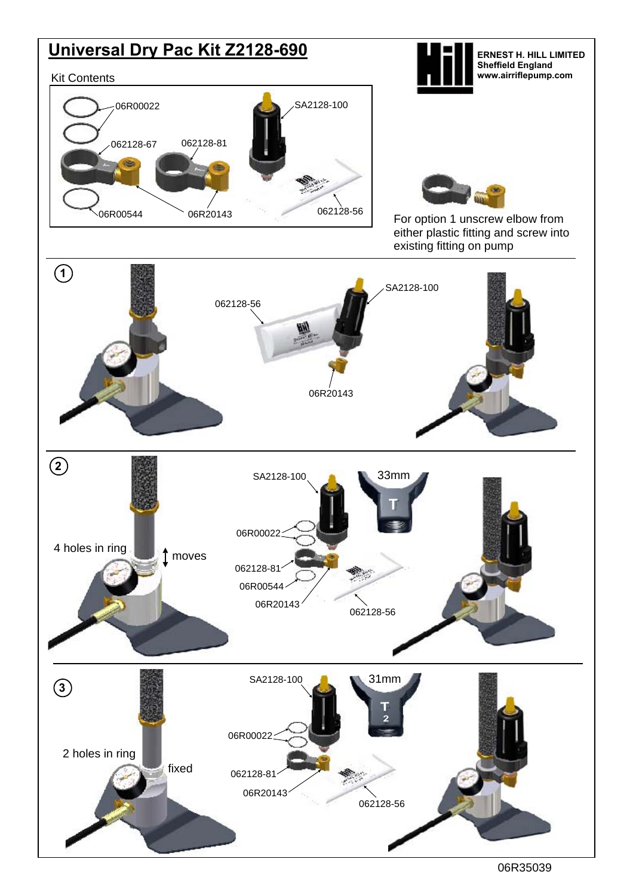

06R35039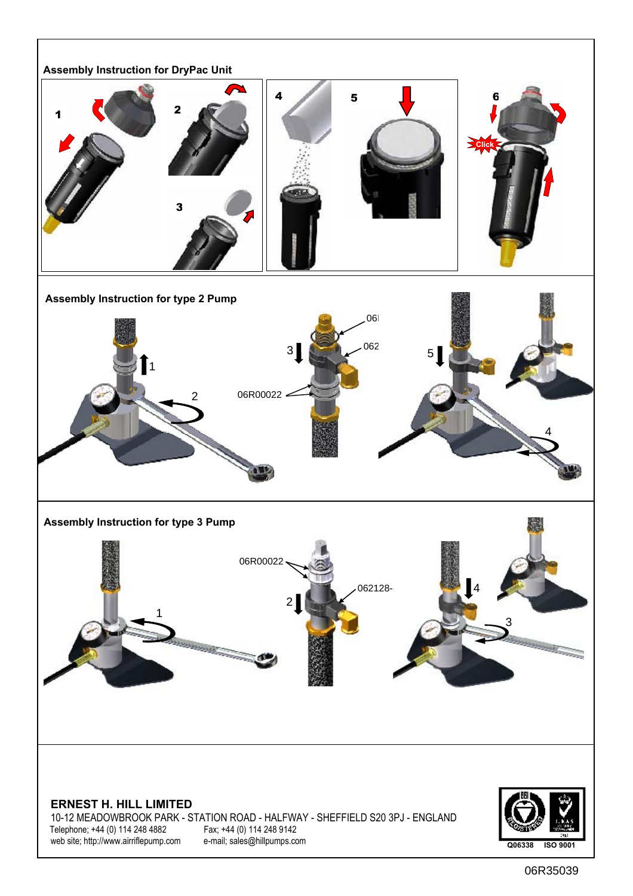

06R35039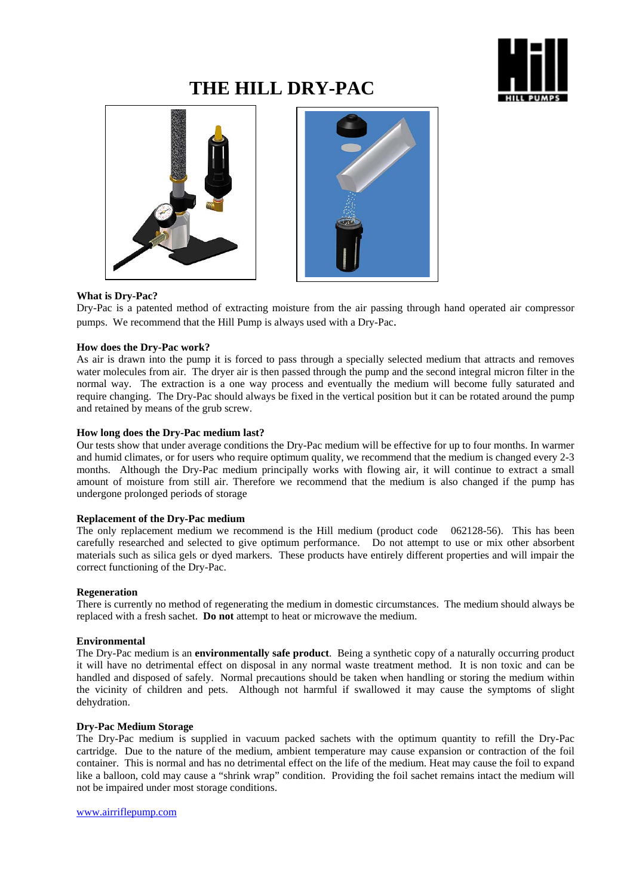

## **THE HILL DRY-PAC**





#### **What is Dry-Pac?**

Dry-Pac is a patented method of extracting moisture from the air passing through hand operated air compressor pumps. We recommend that the Hill Pump is always used with a Dry-Pac.

#### **How does the Dry-Pac work?**

As air is drawn into the pump it is forced to pass through a specially selected medium that attracts and removes water molecules from air. The dryer air is then passed through the pump and the second integral micron filter in the normal way. The extraction is a one way process and eventually the medium will become fully saturated and require changing. The Dry-Pac should always be fixed in the vertical position but it can be rotated around the pump and retained by means of the grub screw.

#### **How long does the Dry-Pac medium last?**

Our tests show that under average conditions the Dry-Pac medium will be effective for up to four months. In warmer and humid climates, or for users who require optimum quality, we recommend that the medium is changed every 2-3 months. Although the Dry-Pac medium principally works with flowing air, it will continue to extract a small amount of moisture from still air. Therefore we recommend that the medium is also changed if the pump has undergone prolonged periods of storage

#### **Replacement of the Dry-Pac medium**

The only replacement medium we recommend is the Hill medium (product code 062128-56). This has been carefully researched and selected to give optimum performance. Do not attempt to use or mix other absorbent materials such as silica gels or dyed markers. These products have entirely different properties and will impair the correct functioning of the Dry-Pac.

#### **Regeneration**

There is currently no method of regenerating the medium in domestic circumstances. The medium should always be replaced with a fresh sachet. **Do not** attempt to heat or microwave the medium.

#### **Environmental**

The Dry-Pac medium is an **environmentally safe product**. Being a synthetic copy of a naturally occurring product it will have no detrimental effect on disposal in any normal waste treatment method. It is non toxic and can be handled and disposed of safely. Normal precautions should be taken when handling or storing the medium within the vicinity of children and pets. Although not harmful if swallowed it may cause the symptoms of slight dehydration.

#### **Dry-Pac Medium Storage**

The Dry-Pac medium is supplied in vacuum packed sachets with the optimum quantity to refill the Dry-Pac cartridge. Due to the nature of the medium, ambient temperature may cause expansion or contraction of the foil container. This is normal and has no detrimental effect on the life of the medium. Heat may cause the foil to expand like a balloon, cold may cause a "shrink wrap" condition. Providing the foil sachet remains intact the medium will not be impaired under most storage conditions.